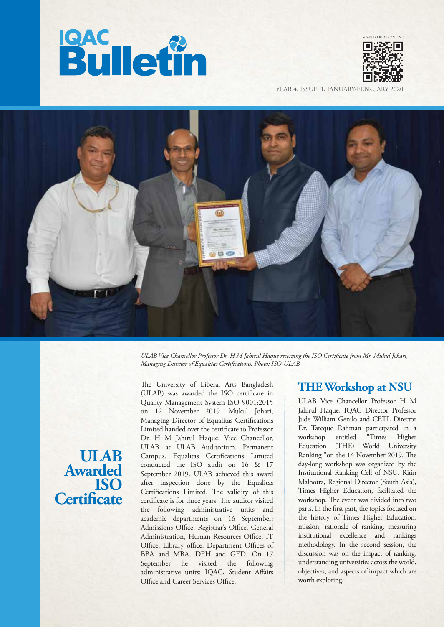



YEAR:4, ISSUE: 1, JANUARY-FEBRUARY



*ULAB Vice Chancellor Professor Dr. H M Jahirul Haque receiving the ISO Certicate from Mr. Mukul Johari, Managing Director of Equalitas Certifications. Photo: ISO-ULAB* 

**ULAB Awarded ISO Certificate**  The University of Liberal Arts Bangladesh (ULAB) was awarded the ISO certificate in Quality Management System ISO 9001:2015 on 12 November 2019. Mukul Johari, Managing Director of Equalitas Certifications Limited handed over the certificate to Professor Dr. H M Jahirul Haque, Vice Chancellor, ULAB at ULAB Auditorium, Permanent Campus. Equalitas Certifications Limited conducted the ISO audit on 16 & 17 September 2019. ULAB achieved this award after inspection done by the Equalitas Certifications Limited. The validity of this certificate is for three years. The auditor visited the following administrative units and academic departments on 16 September: Admissions Office, Registrar's Office, General Administration, Human Resources Office, IT Office, Library office; Department Offices of BBA and MBA, DEH and GED. On 17 September he visited the following administrative units: IQAC, Student Affairs Office and Career Services Office.

## **THE Workshop at NSU**

ULAB Vice Chancellor Professor H M Jahirul Haque, IQAC Director Professor Jude William Genilo and CETL Director Dr. Tareque Rahman participated in a workshop entitled "Times Higher Education (THE) World University Ranking "on the 14 November 2019. The day-long workshop was organized by the Institutional Ranking Cell of NSU. Ritin Malhotra, Regional Director (South Asia), Times Higher Education, facilitated the workshop. The event was divided into two parts. In the first part, the topics focused on the history of Times Higher Education, mission, rationale of ranking, measuring institutional excellence and rankings methodology. In the second session, the discussion was on the impact of ranking, understanding universities across the world, objectives, and aspects of impact which are worth exploring.